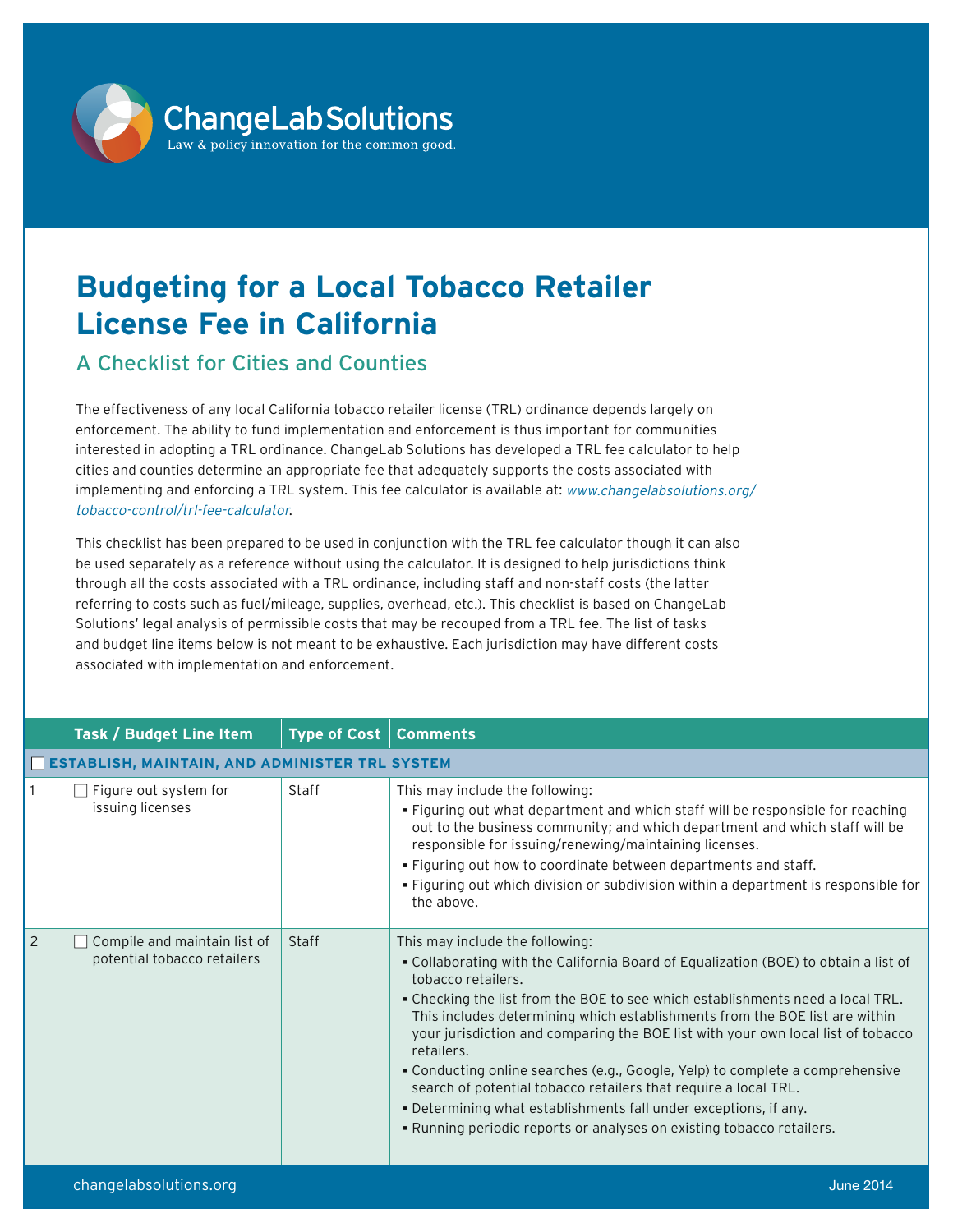

## **Budgeting for a Local Tobacco Retailer License Fee in California**

## A Checklist for Cities and Counties

The effectiveness of any local California tobacco retailer license (TRL) ordinance depends largely on enforcement. The ability to fund implementation and enforcement is thus important for communities interested in adopting a TRL ordinance. ChangeLab Solutions has developed a TRL fee calculator to help cities and counties determine an appropriate fee that adequately supports the costs associated with implementing and enforcing a TRL system. This fee calculator is available at: [www.changelabsolutions.org/](www.changelabsolutions.org/tobacco-control/trl-fee-calculator) [tobacco-control/trl-fee-calculator](www.changelabsolutions.org/tobacco-control/trl-fee-calculator).

This checklist has been prepared to be used in conjunction with the TRL fee calculator though it can also be used separately as a reference without using the calculator. It is designed to help jurisdictions think through all the costs associated with a TRL ordinance, including staff and non-staff costs (the latter referring to costs such as fuel/mileage, supplies, overhead, etc.). This checklist is based on ChangeLab Solutions' legal analysis of permissible costs that may be recouped from a TRL fee. The list of tasks and budget line items below is not meant to be exhaustive. Each jurisdiction may have different costs associated with implementation and enforcement.

|                | Task / Budget Line Item                                     | <b>Type of Cost</b> | <b>Comments</b>                                                                                                                                                                                                                                                                                                                                                                                                                                                                                                                                                                                                                                                                                                  |  |
|----------------|-------------------------------------------------------------|---------------------|------------------------------------------------------------------------------------------------------------------------------------------------------------------------------------------------------------------------------------------------------------------------------------------------------------------------------------------------------------------------------------------------------------------------------------------------------------------------------------------------------------------------------------------------------------------------------------------------------------------------------------------------------------------------------------------------------------------|--|
|                | ESTABLISH, MAINTAIN, AND ADMINISTER TRL SYSTEM              |                     |                                                                                                                                                                                                                                                                                                                                                                                                                                                                                                                                                                                                                                                                                                                  |  |
|                | Figure out system for<br>issuing licenses                   | Staff               | This may include the following:<br>. Figuring out what department and which staff will be responsible for reaching<br>out to the business community; and which department and which staff will be<br>responsible for issuing/renewing/maintaining licenses.<br>. Figuring out how to coordinate between departments and staff.<br>. Figuring out which division or subdivision within a department is responsible for<br>the above.                                                                                                                                                                                                                                                                              |  |
| $\overline{2}$ | Compile and maintain list of<br>potential tobacco retailers | Staff               | This may include the following:<br>. Collaborating with the California Board of Equalization (BOE) to obtain a list of<br>tobacco retailers.<br>. Checking the list from the BOE to see which establishments need a local TRL.<br>This includes determining which establishments from the BOE list are within<br>your jurisdiction and comparing the BOE list with your own local list of tobacco<br>retailers.<br>• Conducting online searches (e.g., Google, Yelp) to complete a comprehensive<br>search of potential tobacco retailers that require a local TRL.<br>. Determining what establishments fall under exceptions, if any.<br>. Running periodic reports or analyses on existing tobacco retailers. |  |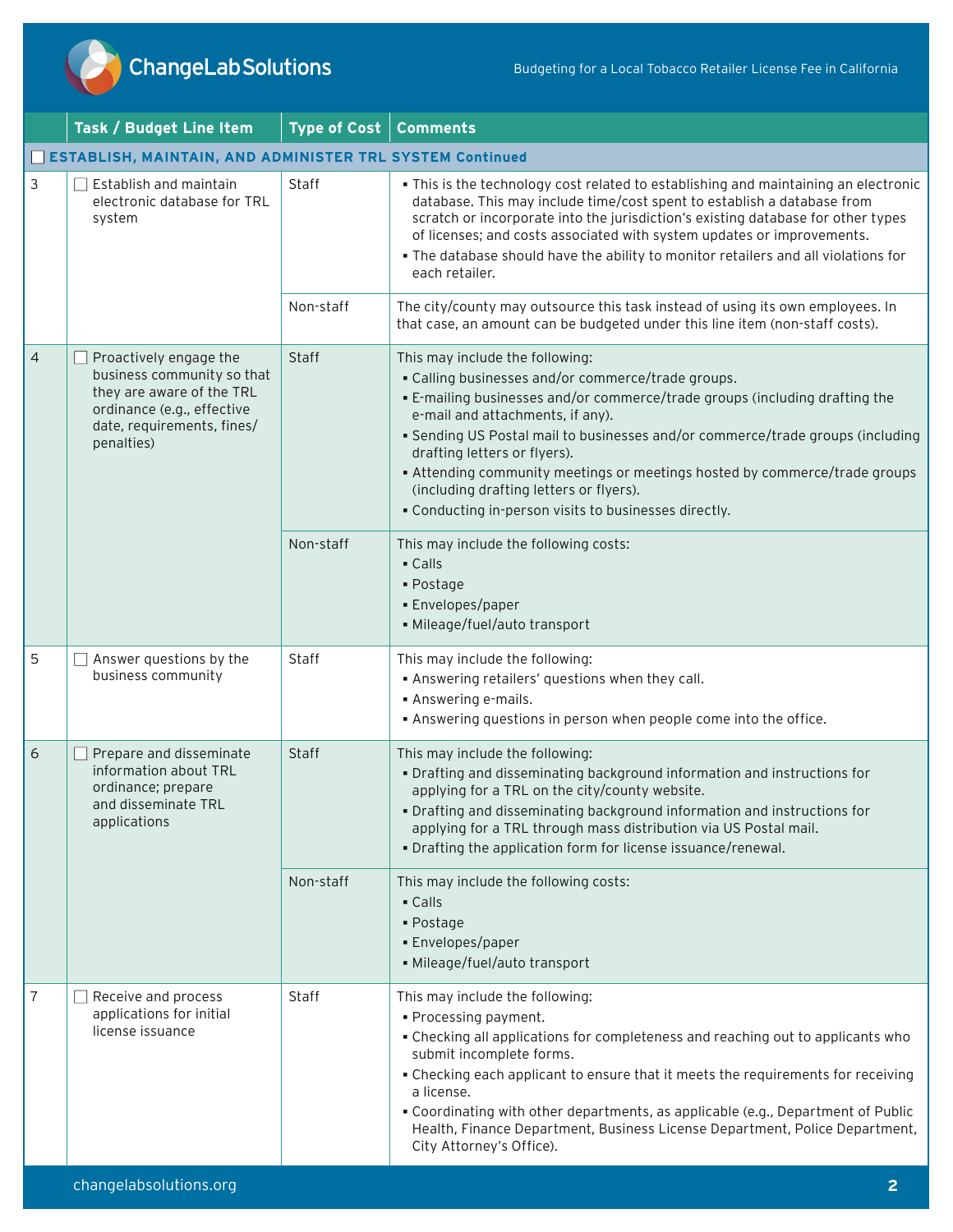

|   | Task / Budget Line Item                                                                                                                                     | Type of Cost | <b>Comments</b>                                                                                                                                                                                                                                                                                                                                                                                                                                                                                              |
|---|-------------------------------------------------------------------------------------------------------------------------------------------------------------|--------------|--------------------------------------------------------------------------------------------------------------------------------------------------------------------------------------------------------------------------------------------------------------------------------------------------------------------------------------------------------------------------------------------------------------------------------------------------------------------------------------------------------------|
|   | ESTABLISH, MAINTAIN, AND ADMINISTER TRL SYSTEM Continued                                                                                                    |              |                                                                                                                                                                                                                                                                                                                                                                                                                                                                                                              |
| 3 | Establish and maintain<br>electronic database for TRL<br>system                                                                                             | Staff        | . This is the technology cost related to establishing and maintaining an electronic<br>database. This may include time/cost spent to establish a database from<br>scratch or incorporate into the jurisdiction's existing database for other types<br>of licenses; and costs associated with system updates or improvements.<br>. The database should have the ability to monitor retailers and all violations for<br>each retailer.                                                                         |
|   |                                                                                                                                                             | Non-staff    | The city/county may outsource this task instead of using its own employees. In<br>that case, an amount can be budgeted under this line item (non-staff costs).                                                                                                                                                                                                                                                                                                                                               |
| 4 | Proactively engage the<br>business community so that<br>they are aware of the TRL<br>ordinance (e.g., effective<br>date, requirements, fines/<br>penalties) | <b>Staff</b> | This may include the following:<br>• Calling businesses and/or commerce/trade groups.<br>. E-mailing businesses and/or commerce/trade groups (including drafting the<br>e-mail and attachments, if any).<br>• Sending US Postal mail to businesses and/or commerce/trade groups (including<br>drafting letters or flyers).<br>- Attending community meetings or meetings hosted by commerce/trade groups<br>(including drafting letters or flyers).<br>. Conducting in-person visits to businesses directly. |
|   |                                                                                                                                                             | Non-staff    | This may include the following costs:<br>- Calls<br>• Postage<br>· Envelopes/paper<br>· Mileage/fuel/auto transport                                                                                                                                                                                                                                                                                                                                                                                          |
| 5 | Answer questions by the<br>business community                                                                                                               | <b>Staff</b> | This may include the following:<br>. Answering retailers' questions when they call.<br>• Answering e-mails.<br>. Answering questions in person when people come into the office.                                                                                                                                                                                                                                                                                                                             |
| 6 | Prepare and disseminate<br>information about TRL<br>ordinance; prepare<br>and disseminate TRL<br>applications                                               | Staff        | This may include the following:<br>. Drafting and disseminating background information and instructions for<br>applying for a TRL on the city/county website.<br>. Drafting and disseminating background information and instructions for<br>applying for a TRL through mass distribution via US Postal mail.<br>. Drafting the application form for license issuance/renewal.                                                                                                                               |
|   |                                                                                                                                                             | Non-staff    | This may include the following costs:<br>$\blacksquare$ Calls<br>- Postage<br>· Envelopes/paper<br>• Mileage/fuel/auto transport                                                                                                                                                                                                                                                                                                                                                                             |
| 7 | Receive and process<br>applications for initial<br>license issuance                                                                                         | Staff        | This may include the following:<br>· Processing payment.<br>. Checking all applications for completeness and reaching out to applicants who<br>submit incomplete forms.<br>. Checking each applicant to ensure that it meets the requirements for receiving<br>a license.<br>. Coordinating with other departments, as applicable (e.g., Department of Public<br>Health, Finance Department, Business License Department, Police Department,<br>City Attorney's Office).                                     |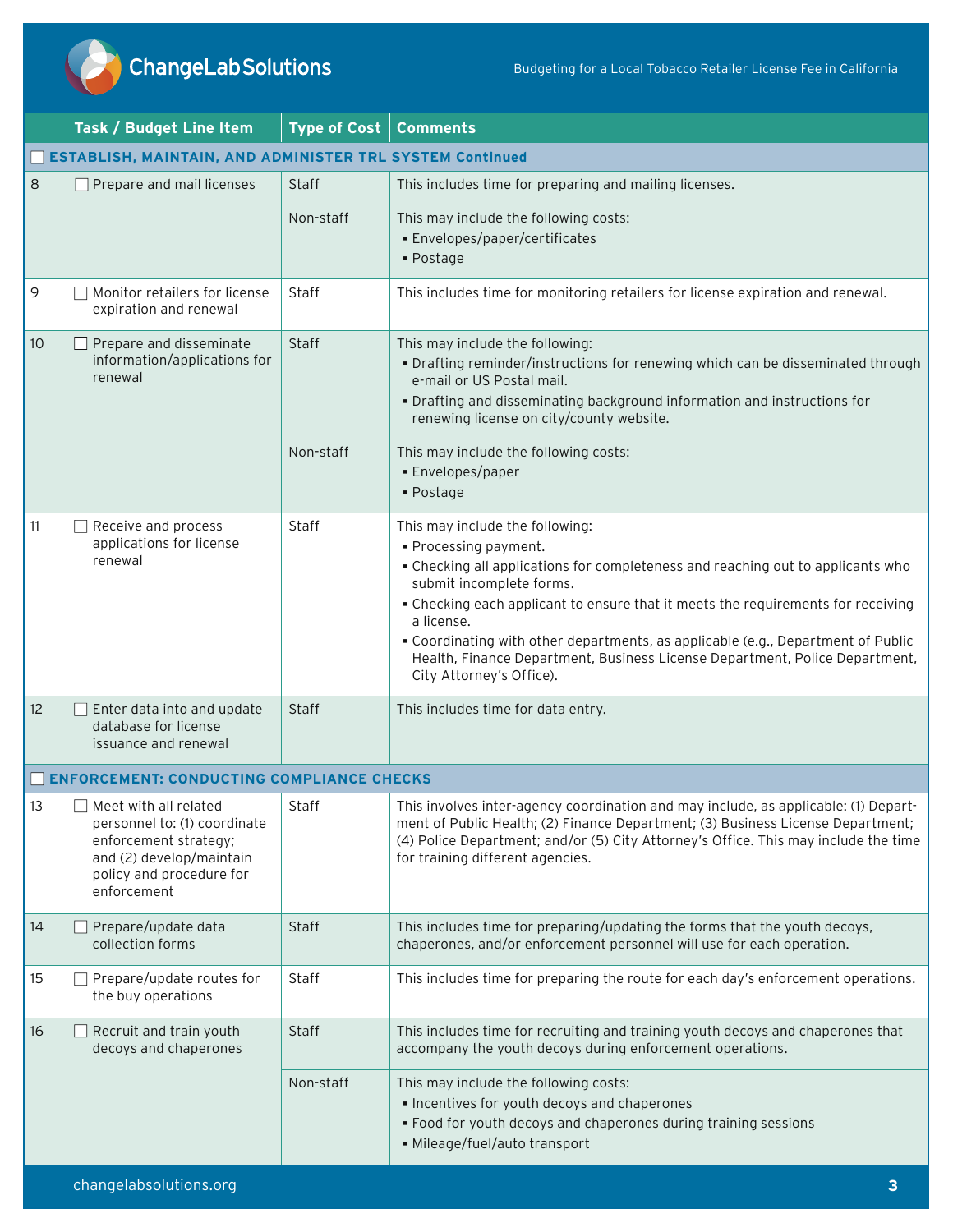

**ChangeLabSolutions** 

|                                                          | Task / Budget Line Item                                                                                                                               | <b>Type of Cost</b> | <b>Comments</b>                                                                                                                                                                                                                                                                                                                                                                                                                                                          |
|----------------------------------------------------------|-------------------------------------------------------------------------------------------------------------------------------------------------------|---------------------|--------------------------------------------------------------------------------------------------------------------------------------------------------------------------------------------------------------------------------------------------------------------------------------------------------------------------------------------------------------------------------------------------------------------------------------------------------------------------|
| ESTABLISH, MAINTAIN, AND ADMINISTER TRL SYSTEM Continued |                                                                                                                                                       |                     |                                                                                                                                                                                                                                                                                                                                                                                                                                                                          |
| 8                                                        | Prepare and mail licenses                                                                                                                             | Staff               | This includes time for preparing and mailing licenses.                                                                                                                                                                                                                                                                                                                                                                                                                   |
|                                                          |                                                                                                                                                       | Non-staff           | This may include the following costs:<br>· Envelopes/paper/certificates<br>• Postage                                                                                                                                                                                                                                                                                                                                                                                     |
| 9                                                        | Monitor retailers for license<br>expiration and renewal                                                                                               | Staff               | This includes time for monitoring retailers for license expiration and renewal.                                                                                                                                                                                                                                                                                                                                                                                          |
| 10                                                       | Prepare and disseminate<br>information/applications for<br>renewal                                                                                    | Staff               | This may include the following:<br>. Drafting reminder/instructions for renewing which can be disseminated through<br>e-mail or US Postal mail.<br>. Drafting and disseminating background information and instructions for<br>renewing license on city/county website.                                                                                                                                                                                                  |
|                                                          |                                                                                                                                                       | Non-staff           | This may include the following costs:<br>· Envelopes/paper<br>$\blacksquare$ Postage                                                                                                                                                                                                                                                                                                                                                                                     |
| 11                                                       | Receive and process<br>applications for license<br>renewal                                                                                            | Staff               | This may include the following:<br>· Processing payment.<br>. Checking all applications for completeness and reaching out to applicants who<br>submit incomplete forms.<br>. Checking each applicant to ensure that it meets the requirements for receiving<br>a license.<br>. Coordinating with other departments, as applicable (e.g., Department of Public<br>Health, Finance Department, Business License Department, Police Department,<br>City Attorney's Office). |
| 12                                                       | Enter data into and update<br>database for license<br>issuance and renewal                                                                            | Staff               | This includes time for data entry.                                                                                                                                                                                                                                                                                                                                                                                                                                       |
|                                                          | <b>ENFORCEMENT: CONDUCTING COMPLIANCE CHECKS</b>                                                                                                      |                     |                                                                                                                                                                                                                                                                                                                                                                                                                                                                          |
| 13                                                       | Meet with all related<br>personnel to: (1) coordinate<br>enforcement strategy;<br>and (2) develop/maintain<br>policy and procedure for<br>enforcement | Staff               | This involves inter-agency coordination and may include, as applicable: (1) Depart-<br>ment of Public Health; (2) Finance Department; (3) Business License Department;<br>(4) Police Department; and/or (5) City Attorney's Office. This may include the time<br>for training different agencies.                                                                                                                                                                        |
| 14                                                       | Prepare/update data<br>collection forms                                                                                                               | Staff               | This includes time for preparing/updating the forms that the youth decoys,<br>chaperones, and/or enforcement personnel will use for each operation.                                                                                                                                                                                                                                                                                                                      |
| 15                                                       | Prepare/update routes for<br>the buy operations                                                                                                       | Staff               | This includes time for preparing the route for each day's enforcement operations.                                                                                                                                                                                                                                                                                                                                                                                        |
| 16                                                       | Recruit and train youth<br>decoys and chaperones                                                                                                      | <b>Staff</b>        | This includes time for recruiting and training youth decoys and chaperones that<br>accompany the youth decoys during enforcement operations.                                                                                                                                                                                                                                                                                                                             |
|                                                          |                                                                                                                                                       | Non-staff           | This may include the following costs:<br>· Incentives for youth decoys and chaperones<br>. Food for youth decoys and chaperones during training sessions<br>· Mileage/fuel/auto transport                                                                                                                                                                                                                                                                                |
|                                                          | changelabsolutions.org                                                                                                                                |                     | 3                                                                                                                                                                                                                                                                                                                                                                                                                                                                        |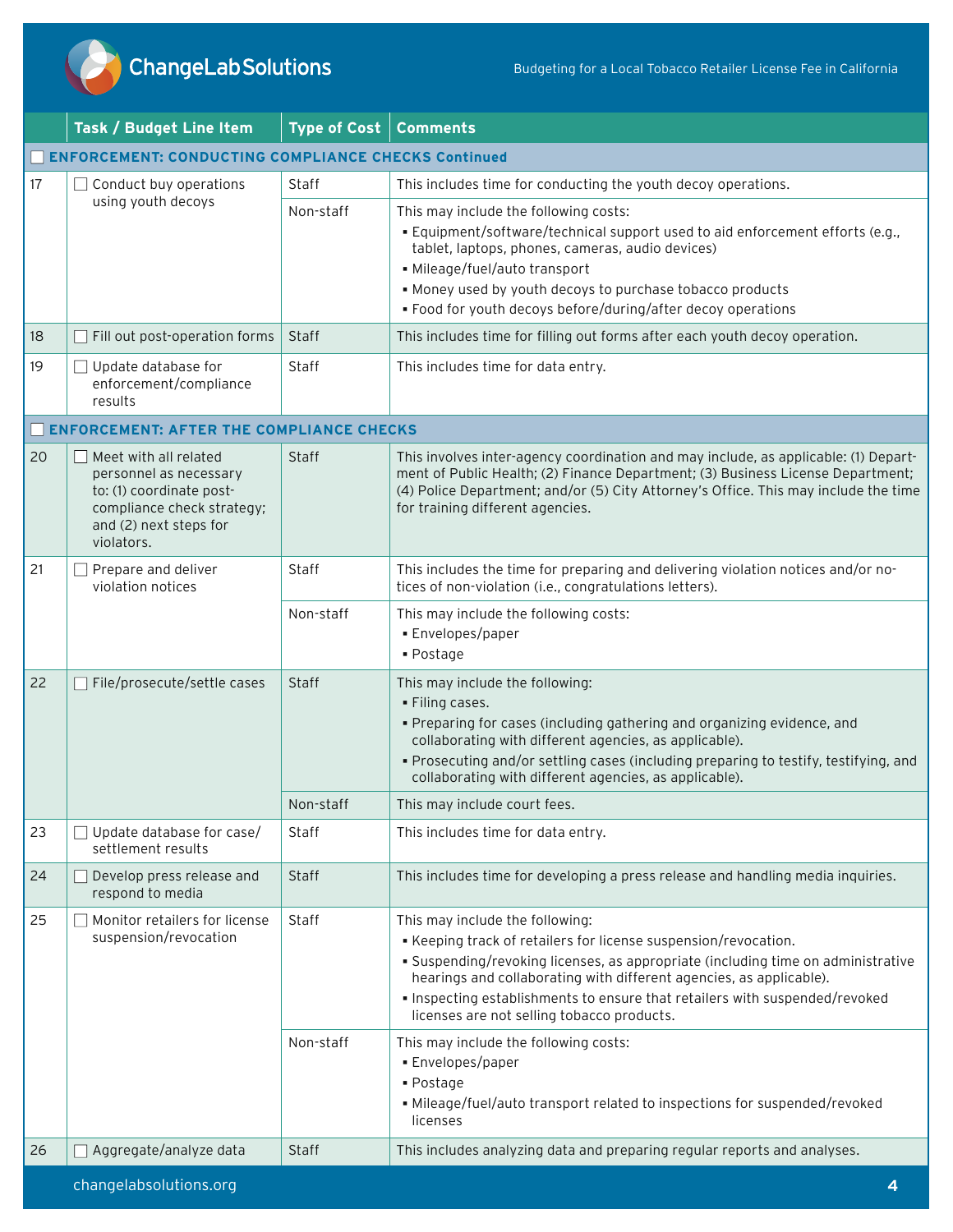

|    | Task / Budget Line Item                                                                                                                           | <b>Type of Cost</b> | <b>Comments</b>                                                                                                                                                                                                                                                                                                                                                                            |  |
|----|---------------------------------------------------------------------------------------------------------------------------------------------------|---------------------|--------------------------------------------------------------------------------------------------------------------------------------------------------------------------------------------------------------------------------------------------------------------------------------------------------------------------------------------------------------------------------------------|--|
|    | <b>ENFORCEMENT: CONDUCTING COMPLIANCE CHECKS Continued</b>                                                                                        |                     |                                                                                                                                                                                                                                                                                                                                                                                            |  |
| 17 | Conduct buy operations                                                                                                                            | Staff               | This includes time for conducting the youth decoy operations.                                                                                                                                                                                                                                                                                                                              |  |
|    | using youth decoys                                                                                                                                | Non-staff           | This may include the following costs:<br>. Equipment/software/technical support used to aid enforcement efforts (e.g.,<br>tablet, laptops, phones, cameras, audio devices)<br>· Mileage/fuel/auto transport<br>. Money used by youth decoys to purchase tobacco products<br>. Food for youth decoys before/during/after decoy operations                                                   |  |
| 18 | Fill out post-operation forms                                                                                                                     | Staff               | This includes time for filling out forms after each youth decoy operation.                                                                                                                                                                                                                                                                                                                 |  |
| 19 | Update database for<br>enforcement/compliance<br>results                                                                                          | Staff               | This includes time for data entry.                                                                                                                                                                                                                                                                                                                                                         |  |
|    | <b>ENFORCEMENT: AFTER THE COMPLIANCE CHECKS</b>                                                                                                   |                     |                                                                                                                                                                                                                                                                                                                                                                                            |  |
| 20 | Meet with all related<br>personnel as necessary<br>to: (1) coordinate post-<br>compliance check strategy;<br>and (2) next steps for<br>violators. | Staff               | This involves inter-agency coordination and may include, as applicable: (1) Depart-<br>ment of Public Health; (2) Finance Department; (3) Business License Department;<br>(4) Police Department; and/or (5) City Attorney's Office. This may include the time<br>for training different agencies.                                                                                          |  |
| 21 | Prepare and deliver<br>violation notices                                                                                                          | Staff               | This includes the time for preparing and delivering violation notices and/or no-<br>tices of non-violation (i.e., congratulations letters).                                                                                                                                                                                                                                                |  |
|    |                                                                                                                                                   | Non-staff           | This may include the following costs:<br>• Envelopes/paper<br>- Postage                                                                                                                                                                                                                                                                                                                    |  |
| 22 | File/prosecute/settle cases                                                                                                                       | <b>Staff</b>        | This may include the following:<br>. Filing cases.<br>. Preparing for cases (including gathering and organizing evidence, and<br>collaborating with different agencies, as applicable).<br>. Prosecuting and/or settling cases (including preparing to testify, testifying, and<br>collaborating with different agencies, as applicable).                                                  |  |
|    |                                                                                                                                                   | Non-staff           | This may include court fees.                                                                                                                                                                                                                                                                                                                                                               |  |
| 23 | Update database for case/<br>settlement results                                                                                                   | Staff               | This includes time for data entry.                                                                                                                                                                                                                                                                                                                                                         |  |
| 24 | Develop press release and<br>respond to media                                                                                                     | <b>Staff</b>        | This includes time for developing a press release and handling media inquiries.                                                                                                                                                                                                                                                                                                            |  |
| 25 | Monitor retailers for license<br>suspension/revocation                                                                                            | Staff               | This may include the following:<br>- Keeping track of retailers for license suspension/revocation.<br>· Suspending/revoking licenses, as appropriate (including time on administrative<br>hearings and collaborating with different agencies, as applicable).<br>. Inspecting establishments to ensure that retailers with suspended/revoked<br>licenses are not selling tobacco products. |  |
|    |                                                                                                                                                   | Non-staff           | This may include the following costs:<br>• Envelopes/paper<br>• Postage<br>• Mileage/fuel/auto transport related to inspections for suspended/revoked<br>licenses                                                                                                                                                                                                                          |  |
| 26 | Aggregate/analyze data                                                                                                                            | Staff               | This includes analyzing data and preparing regular reports and analyses.                                                                                                                                                                                                                                                                                                                   |  |
|    | changelabsolutions.org                                                                                                                            |                     | 4                                                                                                                                                                                                                                                                                                                                                                                          |  |